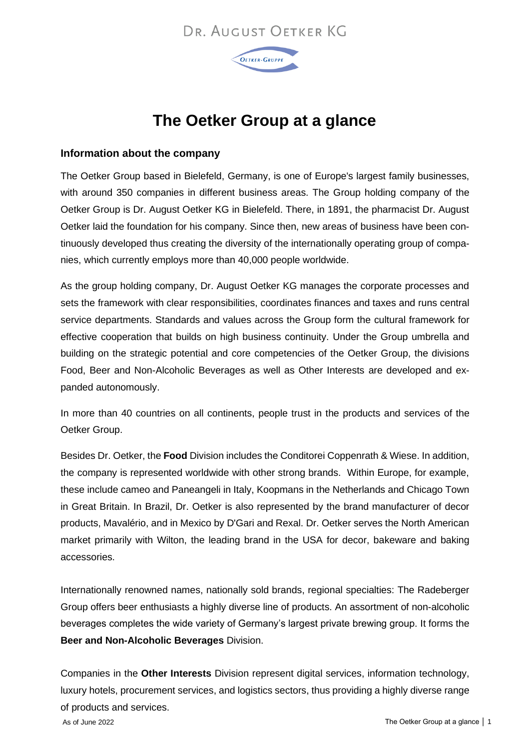## DR. AUGUST OFTKER KG



# **The Oetker Group at a glance**

#### **Information about the company**

The Oetker Group based in Bielefeld, Germany, is one of Europe's largest family businesses, with around 350 companies in different business areas. The Group holding company of the Oetker Group is Dr. August Oetker KG in Bielefeld. There, in 1891, the pharmacist Dr. August Oetker laid the foundation for his company. Since then, new areas of business have been continuously developed thus creating the diversity of the internationally operating group of companies, which currently employs more than 40,000 people worldwide.

As the group holding company, Dr. August Oetker KG manages the corporate processes and sets the framework with clear responsibilities, coordinates finances and taxes and runs central service departments. Standards and values across the Group form the cultural framework for effective cooperation that builds on high business continuity. Under the Group umbrella and building on the strategic potential and core competencies of the Oetker Group, the divisions Food, Beer and Non-Alcoholic Beverages as well as Other Interests are developed and expanded autonomously.

In more than 40 countries on all continents, people trust in the products and services of the Oetker Group.

Besides Dr. Oetker, the **Food** Division includes the Conditorei Coppenrath & Wiese. In addition, the company is represented worldwide with other strong brands. Within Europe, for example, these include cameo and Paneangeli in Italy, Koopmans in the Netherlands and Chicago Town in Great Britain. In Brazil, Dr. Oetker is also represented by the brand manufacturer of decor products, Mavalério, and in Mexico by D'Gari and Rexal. Dr. Oetker serves the North American market primarily with Wilton, the leading brand in the USA for decor, bakeware and baking accessories.

Internationally renowned names, nationally sold brands, regional specialties: The Radeberger Group offers beer enthusiasts a highly diverse line of products. An assortment of non-alcoholic beverages completes the wide variety of Germany's largest private brewing group. It forms the **Beer and Non-Alcoholic Beverages** Division.

Companies in the **Other Interests** Division represent digital services, information technology, luxury hotels, procurement services, and logistics sectors, thus providing a highly diverse range of products and services.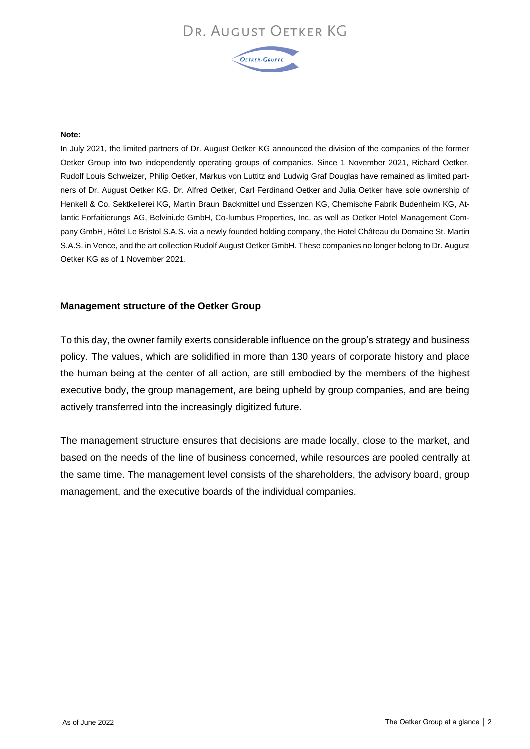## DR. AUGUST OETKER KG



#### **Note:**

In July 2021, the limited partners of Dr. August Oetker KG announced the division of the companies of the former Oetker Group into two independently operating groups of companies. Since 1 November 2021, Richard Oetker, Rudolf Louis Schweizer, Philip Oetker, Markus von Luttitz and Ludwig Graf Douglas have remained as limited partners of Dr. August Oetker KG. Dr. Alfred Oetker, Carl Ferdinand Oetker and Julia Oetker have sole ownership of Henkell & Co. Sektkellerei KG, Martin Braun Backmittel und Essenzen KG, Chemische Fabrik Budenheim KG, Atlantic Forfaitierungs AG, Belvini.de GmbH, Co-lumbus Properties, Inc. as well as Oetker Hotel Management Company GmbH, Hôtel Le Bristol S.A.S. via a newly founded holding company, the Hotel Château du Domaine St. Martin S.A.S. in Vence, and the art collection Rudolf August Oetker GmbH. These companies no longer belong to Dr. August Oetker KG as of 1 November 2021.

#### **Management structure of the Oetker Group**

To this day, the owner family exerts considerable influence on the group's strategy and business policy. The values, which are solidified in more than 130 years of corporate history and place the human being at the center of all action, are still embodied by the members of the highest executive body, the group management, are being upheld by group companies, and are being actively transferred into the increasingly digitized future.

The management structure ensures that decisions are made locally, close to the market, and based on the needs of the line of business concerned, while resources are pooled centrally at the same time. The management level consists of the shareholders, the advisory board, group management, and the executive boards of the individual companies.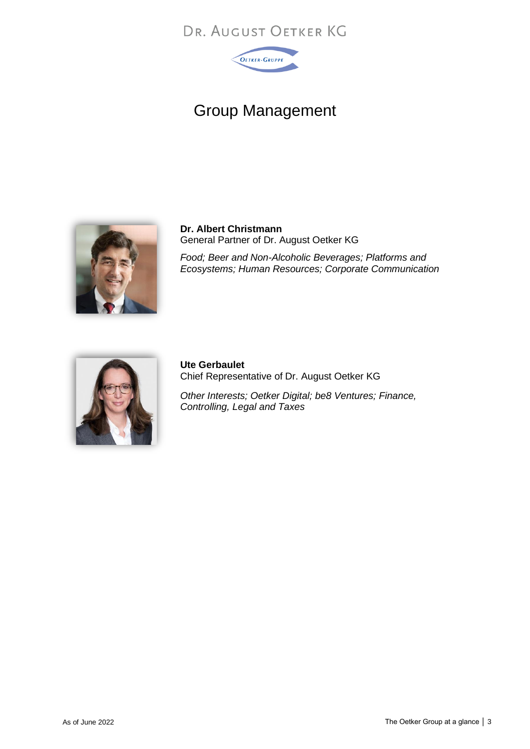## DR. AUGUST OETKER KG



# Group Management



**Dr. Albert Christmann** General Partner of Dr. August Oetker KG

*Food; Beer and Non-Alcoholic Beverages; Platforms and Ecosystems; Human Resources; Corporate Communication*



**Ute Gerbaulet** Chief Representative of Dr. August Oetker KG

*Other Interests; Oetker Digital; be8 Ventures; Finance, Controlling, Legal and Taxes*